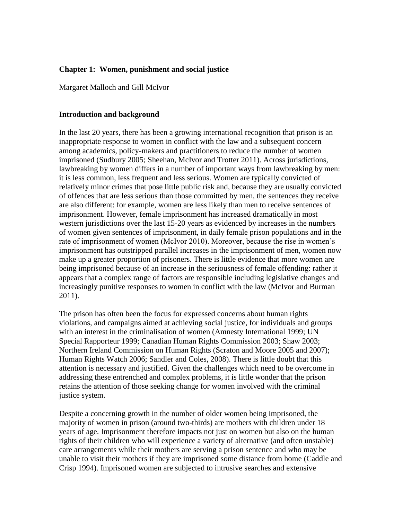## **Chapter 1: Women, punishment and social justice**

Margaret Malloch and Gill McIvor

## **Introduction and background**

In the last 20 years, there has been a growing international recognition that prison is an inappropriate response to women in conflict with the law and a subsequent concern among academics, policy-makers and practitioners to reduce the number of women imprisoned (Sudbury 2005; Sheehan, McIvor and Trotter 2011). Across jurisdictions, lawbreaking by women differs in a number of important ways from lawbreaking by men: it is less common, less frequent and less serious. Women are typically convicted of relatively minor crimes that pose little public risk and, because they are usually convicted of offences that are less serious than those committed by men, the sentences they receive are also different: for example, women are less likely than men to receive sentences of imprisonment. However, female imprisonment has increased dramatically in most western jurisdictions over the last 15-20 years as evidenced by increases in the numbers of women given sentences of imprisonment, in daily female prison populations and in the rate of imprisonment of women (McIvor 2010). Moreover, because the rise in women's imprisonment has outstripped parallel increases in the imprisonment of men, women now make up a greater proportion of prisoners. There is little evidence that more women are being imprisoned because of an increase in the seriousness of female offending: rather it appears that a complex range of factors are responsible including legislative changes and increasingly punitive responses to women in conflict with the law (McIvor and Burman 2011).

The prison has often been the focus for expressed concerns about human rights violations, and campaigns aimed at achieving social justice, for individuals and groups with an interest in the criminalisation of women (Amnesty International 1999; UN Special Rapporteur 1999; Canadian Human Rights Commission 2003; Shaw 2003; Northern Ireland Commission on Human Rights (Scraton and Moore 2005 and 2007); Human Rights Watch 2006; Sandler and Coles, 2008). There is little doubt that this attention is necessary and justified. Given the challenges which need to be overcome in addressing these entrenched and complex problems, it is little wonder that the prison retains the attention of those seeking change for women involved with the criminal justice system.

Despite a concerning growth in the number of older women being imprisoned, the majority of women in prison (around two-thirds) are mothers with children under 18 years of age. Imprisonment therefore impacts not just on women but also on the human rights of their children who will experience a variety of alternative (and often unstable) care arrangements while their mothers are serving a prison sentence and who may be unable to visit their mothers if they are imprisoned some distance from home (Caddle and Crisp 1994). Imprisoned women are subjected to intrusive searches and extensive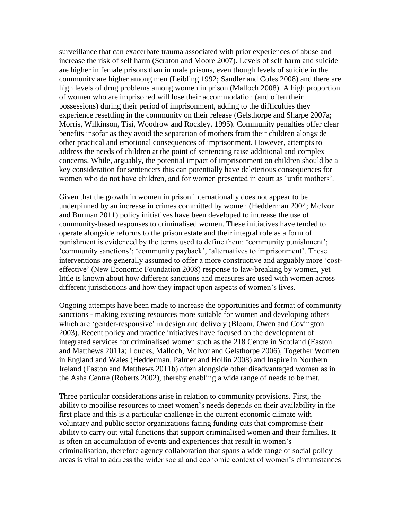surveillance that can exacerbate trauma associated with prior experiences of abuse and increase the risk of self harm (Scraton and Moore 2007). Levels of self harm and suicide are higher in female prisons than in male prisons, even though levels of suicide in the community are higher among men (Leibling 1992; Sandler and Coles 2008) and there are high levels of drug problems among women in prison (Malloch 2008). A high proportion of women who are imprisoned will lose their accommodation (and often their possessions) during their period of imprisonment, adding to the difficulties they experience resettling in the community on their release (Gelsthorpe and Sharpe 2007a; Morris, Wilkinson, Tisi, Woodrow and Rockley. 1995). Community penalties offer clear benefits insofar as they avoid the separation of mothers from their children alongside other practical and emotional consequences of imprisonment. However, attempts to address the needs of children at the point of sentencing raise additional and complex concerns. While, arguably, the potential impact of imprisonment on children should be a key consideration for sentencers this can potentially have deleterious consequences for women who do not have children, and for women presented in court as 'unfit mothers'.

Given that the growth in women in prison internationally does not appear to be underpinned by an increase in crimes committed by women (Hedderman 2004; McIvor and Burman 2011) policy initiatives have been developed to increase the use of community-based responses to criminalised women. These initiatives have tended to operate alongside reforms to the prison estate and their integral role as a form of punishment is evidenced by the terms used to define them: 'community punishment'; 'community sanctions'; 'community payback', 'alternatives to imprisonment'. These interventions are generally assumed to offer a more constructive and arguably more 'costeffective' (New Economic Foundation 2008) response to law-breaking by women, yet little is known about how different sanctions and measures are used with women across different jurisdictions and how they impact upon aspects of women's lives.

Ongoing attempts have been made to increase the opportunities and format of community sanctions - making existing resources more suitable for women and developing others which are 'gender-responsive' in design and delivery (Bloom, Owen and Covington 2003). Recent policy and practice initiatives have focused on the development of integrated services for criminalised women such as the 218 Centre in Scotland (Easton and Matthews 2011a; Loucks, Malloch, McIvor and Gelsthorpe 2006), Together Women in England and Wales (Hedderman, Palmer and Hollin 2008) and Inspire in Northern Ireland (Easton and Matthews 2011b) often alongside other disadvantaged women as in the Asha Centre (Roberts 2002), thereby enabling a wide range of needs to be met.

Three particular considerations arise in relation to community provisions. First, the ability to mobilise resources to meet women's needs depends on their availability in the first place and this is a particular challenge in the current economic climate with voluntary and public sector organizations facing funding cuts that compromise their ability to carry out vital functions that support criminalised women and their families. It is often an accumulation of events and experiences that result in women's criminalisation, therefore agency collaboration that spans a wide range of social policy areas is vital to address the wider social and economic context of women's circumstances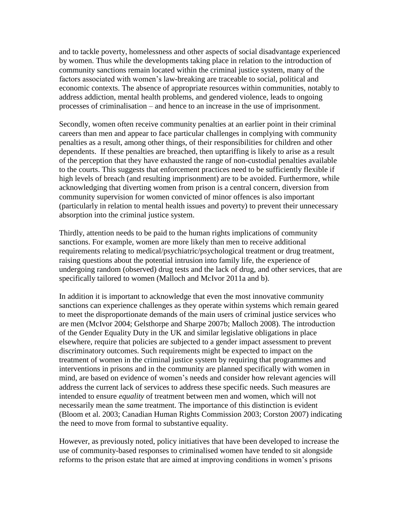and to tackle poverty, homelessness and other aspects of social disadvantage experienced by women. Thus while the developments taking place in relation to the introduction of community sanctions remain located within the criminal justice system, many of the factors associated with women's law-breaking are traceable to social, political and economic contexts. The absence of appropriate resources within communities, notably to address addiction, mental health problems, and gendered violence, leads to ongoing processes of criminalisation – and hence to an increase in the use of imprisonment.

Secondly, women often receive community penalties at an earlier point in their criminal careers than men and appear to face particular challenges in complying with community penalties as a result, among other things, of their responsibilities for children and other dependents. If these penalties are breached, then uptariffing is likely to arise as a result of the perception that they have exhausted the range of non-custodial penalties available to the courts. This suggests that enforcement practices need to be sufficiently flexible if high levels of breach (and resulting imprisonment) are to be avoided. Furthermore, while acknowledging that diverting women from prison is a central concern, diversion from community supervision for women convicted of minor offences is also important (particularly in relation to mental health issues and poverty) to prevent their unnecessary absorption into the criminal justice system.

Thirdly, attention needs to be paid to the human rights implications of community sanctions. For example, women are more likely than men to receive additional requirements relating to medical/psychiatric/psychological treatment or drug treatment, raising questions about the potential intrusion into family life, the experience of undergoing random (observed) drug tests and the lack of drug, and other services, that are specifically tailored to women (Malloch and McIvor 2011a and b).

In addition it is important to acknowledge that even the most innovative community sanctions can experience challenges as they operate within systems which remain geared to meet the disproportionate demands of the main users of criminal justice services who are men (McIvor 2004; Gelsthorpe and Sharpe 2007b; Malloch 2008). The introduction of the Gender Equality Duty in the UK and similar legislative obligations in place elsewhere, require that policies are subjected to a gender impact assessment to prevent discriminatory outcomes. Such requirements might be expected to impact on the treatment of women in the criminal justice system by requiring that programmes and interventions in prisons and in the community are planned specifically with women in mind, are based on evidence of women's needs and consider how relevant agencies will address the current lack of services to address these specific needs. Such measures are intended to ensure *equality* of treatment between men and women, which will not necessarily mean the *same* treatment. The importance of this distinction is evident (Bloom et al. 2003; Canadian Human Rights Commission 2003; Corston 2007) indicating the need to move from formal to substantive equality.

However, as previously noted, policy initiatives that have been developed to increase the use of community-based responses to criminalised women have tended to sit alongside reforms to the prison estate that are aimed at improving conditions in women's prisons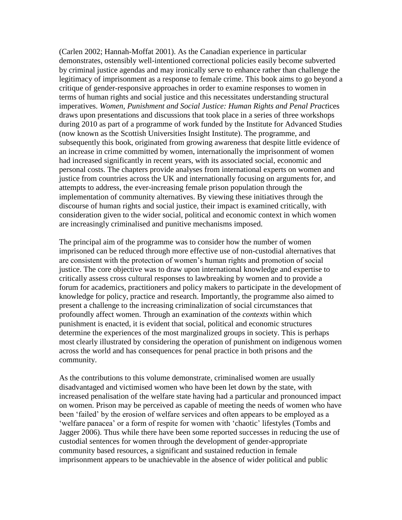(Carlen 2002; Hannah-Moffat 2001). As the Canadian experience in particular demonstrates, ostensibly well-intentioned correctional policies easily become subverted by criminal justice agendas and may ironically serve to enhance rather than challenge the legitimacy of imprisonment as a response to female crime. This book aims to go beyond a critique of gender-responsive approaches in order to examine responses to women in terms of human rights and social justice and this necessitates understanding structural imperatives. *Women, Punishment and Social Justice: Human Rights and Penal Pract*ices draws upon presentations and discussions that took place in a series of three workshops during 2010 as part of a programme of work funded by the Institute for Advanced Studies (now known as the Scottish Universities Insight Institute). The programme, and subsequently this book, originated from growing awareness that despite little evidence of an increase in crime committed by women, internationally the imprisonment of women had increased significantly in recent years, with its associated social, economic and personal costs. The chapters provide analyses from international experts on women and justice from countries across the UK and internationally focusing on arguments for, and attempts to address, the ever-increasing female prison population through the implementation of community alternatives. By viewing these initiatives through the discourse of human rights and social justice, their impact is examined critically, with consideration given to the wider social, political and economic context in which women are increasingly criminalised and punitive mechanisms imposed.

The principal aim of the programme was to consider how the number of women imprisoned can be reduced through more effective use of non-custodial alternatives that are consistent with the protection of women's human rights and promotion of social justice. The core objective was to draw upon international knowledge and expertise to critically assess cross cultural responses to lawbreaking by women and to provide a forum for academics, practitioners and policy makers to participate in the development of knowledge for policy, practice and research. Importantly, the programme also aimed to present a challenge to the increasing criminalization of social circumstances that profoundly affect women. Through an examination of the *contexts* within which punishment is enacted, it is evident that social, political and economic structures determine the experiences of the most marginalized groups in society. This is perhaps most clearly illustrated by considering the operation of punishment on indigenous women across the world and has consequences for penal practice in both prisons and the community.

As the contributions to this volume demonstrate, criminalised women are usually disadvantaged and victimised women who have been let down by the state, with increased penalisation of the welfare state having had a particular and pronounced impact on women. Prison may be perceived as capable of meeting the needs of women who have been 'failed' by the erosion of welfare services and often appears to be employed as a 'welfare panacea' or a form of respite for women with 'chaotic' lifestyles (Tombs and Jagger 2006). Thus while there have been some reported successes in reducing the use of custodial sentences for women through the development of gender-appropriate community based resources, a significant and sustained reduction in female imprisonment appears to be unachievable in the absence of wider political and public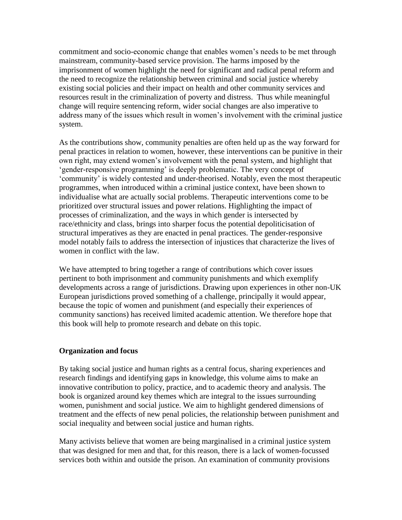commitment and socio-economic change that enables women's needs to be met through mainstream, community-based service provision. The harms imposed by the imprisonment of women highlight the need for significant and radical penal reform and the need to recognize the relationship between criminal and social justice whereby existing social policies and their impact on health and other community services and resources result in the criminalization of poverty and distress. Thus while meaningful change will require sentencing reform, wider social changes are also imperative to address many of the issues which result in women's involvement with the criminal justice system.

As the contributions show, community penalties are often held up as the way forward for penal practices in relation to women, however, these interventions can be punitive in their own right, may extend women's involvement with the penal system, and highlight that 'gender-responsive programming' is deeply problematic. The very concept of 'community' is widely contested and under-theorised. Notably, even the most therapeutic programmes, when introduced within a criminal justice context, have been shown to individualise what are actually social problems. Therapeutic interventions come to be prioritized over structural issues and power relations. Highlighting the impact of processes of criminalization, and the ways in which gender is intersected by race/ethnicity and class, brings into sharper focus the potential depoliticisation of structural imperatives as they are enacted in penal practices. The gender-responsive model notably fails to address the intersection of injustices that characterize the lives of women in conflict with the law.

We have attempted to bring together a range of contributions which cover issues pertinent to both imprisonment and community punishments and which exemplify developments across a range of jurisdictions. Drawing upon experiences in other non-UK European jurisdictions proved something of a challenge, principally it would appear, because the topic of women and punishment (and especially their experiences of community sanctions) has received limited academic attention. We therefore hope that this book will help to promote research and debate on this topic.

## **Organization and focus**

By taking social justice and human rights as a central focus, sharing experiences and research findings and identifying gaps in knowledge, this volume aims to make an innovative contribution to policy, practice, and to academic theory and analysis. The book is organized around key themes which are integral to the issues surrounding women, punishment and social justice. We aim to highlight gendered dimensions of treatment and the effects of new penal policies, the relationship between punishment and social inequality and between social justice and human rights.

Many activists believe that women are being marginalised in a criminal justice system that was designed for men and that, for this reason, there is a lack of women-focussed services both within and outside the prison. An examination of community provisions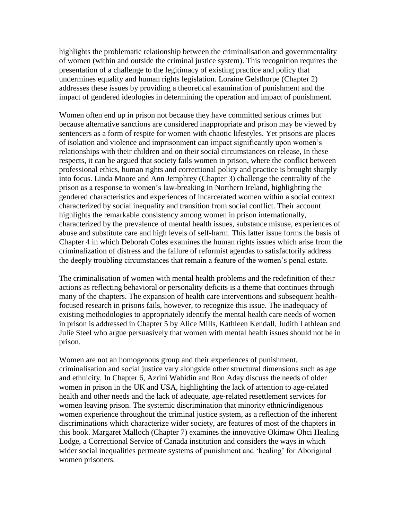highlights the problematic relationship between the criminalisation and governmentality of women (within and outside the criminal justice system). This recognition requires the presentation of a challenge to the legitimacy of existing practice and policy that undermines equality and human rights legislation. Loraine Gelsthorpe (Chapter 2) addresses these issues by providing a theoretical examination of punishment and the impact of gendered ideologies in determining the operation and impact of punishment.

Women often end up in prison not because they have committed serious crimes but because alternative sanctions are considered inappropriate and prison may be viewed by sentencers as a form of respite for women with chaotic lifestyles. Yet prisons are places of isolation and violence and imprisonment can impact significantly upon women's relationships with their children and on their social circumstances on release, In these respects, it can be argued that society fails women in prison, where the conflict between professional ethics, human rights and correctional policy and practice is brought sharply into focus. Linda Moore and Ann Jemphrey (Chapter 3) challenge the centrality of the prison as a response to women's law-breaking in Northern Ireland, highlighting the gendered characteristics and experiences of incarcerated women within a social context characterized by social inequality and transition from social conflict. Their account highlights the remarkable consistency among women in prison internationally, characterized by the prevalence of mental health issues, substance misuse, experiences of abuse and substitute care and high levels of self-harm. This latter issue forms the basis of Chapter 4 in which Deborah Coles examines the human rights issues which arise from the criminalization of distress and the failure of reformist agendas to satisfactorily address the deeply troubling circumstances that remain a feature of the women's penal estate.

The criminalisation of women with mental health problems and the redefinition of their actions as reflecting behavioral or personality deficits is a theme that continues through many of the chapters. The expansion of health care interventions and subsequent healthfocused research in prisons fails, however, to recognize this issue. The inadequacy of existing methodologies to appropriately identify the mental health care needs of women in prison is addressed in Chapter 5 by Alice Mills, Kathleen Kendall, Judith Lathlean and Julie Steel who argue persuasively that women with mental health issues should not be in prison.

Women are not an homogenous group and their experiences of punishment, criminalisation and social justice vary alongside other structural dimensions such as age and ethnicity. In Chapter 6, Azrini Wahidin and Ron Aday discuss the needs of older women in prison in the UK and USA, highlighting the lack of attention to age-related health and other needs and the lack of adequate, age-related resettlement services for women leaving prison. The systemic discrimination that minority ethnic/indigenous women experience throughout the criminal justice system, as a reflection of the inherent discriminations which characterize wider society, are features of most of the chapters in this book. Margaret Malloch (Chapter 7) examines the innovative Okimaw Ohci Healing Lodge, a Correctional Service of Canada institution and considers the ways in which wider social inequalities permeate systems of punishment and 'healing' for Aboriginal women prisoners.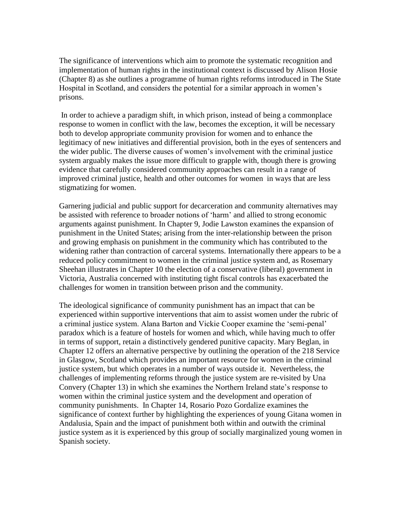The significance of interventions which aim to promote the systematic recognition and implementation of human rights in the institutional context is discussed by Alison Hosie (Chapter 8) as she outlines a programme of human rights reforms introduced in The State Hospital in Scotland, and considers the potential for a similar approach in women's prisons.

In order to achieve a paradigm shift, in which prison, instead of being a commonplace response to women in conflict with the law, becomes the exception, it will be necessary both to develop appropriate community provision for women and to enhance the legitimacy of new initiatives and differential provision, both in the eyes of sentencers and the wider public. The diverse causes of women's involvement with the criminal justice system arguably makes the issue more difficult to grapple with, though there is growing evidence that carefully considered community approaches can result in a range of improved criminal justice, health and other outcomes for women in ways that are less stigmatizing for women.

Garnering judicial and public support for decarceration and community alternatives may be assisted with reference to broader notions of 'harm' and allied to strong economic arguments against punishment. In Chapter 9, Jodie Lawston examines the expansion of punishment in the United States; arising from the inter-relationship between the prison and growing emphasis on punishment in the community which has contributed to the widening rather than contraction of carceral systems. Internationally there appears to be a reduced policy commitment to women in the criminal justice system and, as Rosemary Sheehan illustrates in Chapter 10 the election of a conservative (liberal) government in Victoria, Australia concerned with instituting tight fiscal controls has exacerbated the challenges for women in transition between prison and the community.

The ideological significance of community punishment has an impact that can be experienced within supportive interventions that aim to assist women under the rubric of a criminal justice system. Alana Barton and Vickie Cooper examine the 'semi-penal' paradox which is a feature of hostels for women and which, while having much to offer in terms of support, retain a distinctively gendered punitive capacity. Mary Beglan, in Chapter 12 offers an alternative perspective by outlining the operation of the 218 Service in Glasgow, Scotland which provides an important resource for women in the criminal justice system, but which operates in a number of ways outside it. Nevertheless, the challenges of implementing reforms through the justice system are re-visited by Una Convery (Chapter 13) in which she examines the Northern Ireland state's response to women within the criminal justice system and the development and operation of community punishments. In Chapter 14, Rosario Pozo Gordalize examines the significance of context further by highlighting the experiences of young Gitana women in Andalusia, Spain and the impact of punishment both within and outwith the criminal justice system as it is experienced by this group of socially marginalized young women in Spanish society.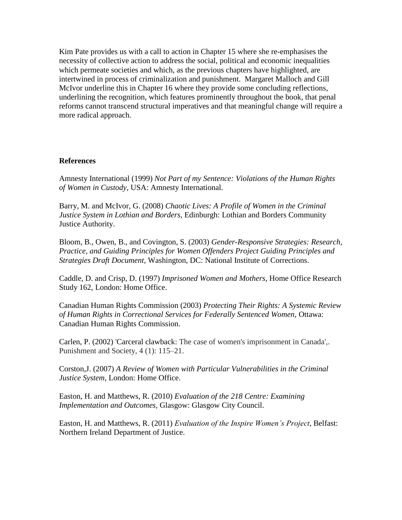Kim Pate provides us with a call to action in Chapter 15 where she re-emphasises the necessity of collective action to address the social, political and economic inequalities which permeate societies and which, as the previous chapters have highlighted, are intertwined in process of criminalization and punishment. Margaret Malloch and Gill McIvor underline this in Chapter 16 where they provide some concluding reflections, underlining the recognition, which features prominently throughout the book, that penal reforms cannot transcend structural imperatives and that meaningful change will require a more radical approach.

## **References**

Amnesty International (1999) *Not Part of my Sentence: Violations of the Human Rights of Women in Custody,* USA: Amnesty International.

Barry, M. and McIvor, G. (2008) *Chaotic Lives: A Profile of Women in the Criminal Justice System in Lothian and Borders,* Edinburgh: Lothian and Borders Community Justice Authority.

Bloom, B., Owen, B., and Covington, S. (2003) *Gender-Responsive Strategies: Research, Practice, and Guiding Principles for Women Offenders Project Guiding Principles and Strategies Draft Document,* Washington, DC: National Institute of Corrections.

Caddle, D. and Crisp, D. (1997) *Imprisoned Women and Mothers*, Home Office Research Study 162, London: Home Office.

Canadian Human Rights Commission (2003) *Protecting Their Rights: A Systemic Review of Human Rights in Correctional Services for Federally Sentenced Women,* Ottawa: Canadian Human Rights Commission.

Carlen, P. (2002) 'Carceral clawback: The case of women's imprisonment in Canada',. Punishment and Society, 4 (1): 115–21.

Corston,J. (2007) *A Review of Women with Particular Vulnerabilities in the Criminal Justice System,* London: Home Office.

Easton, H. and Matthews, R. (2010) *Evaluation of the 218 Centre: Examining Implementation and Outcomes,* Glasgow: Glasgow City Council.

Easton, H. and Matthews, R. (2011) *Evaluation of the Inspire Women's Project*, Belfast: Northern Ireland Department of Justice.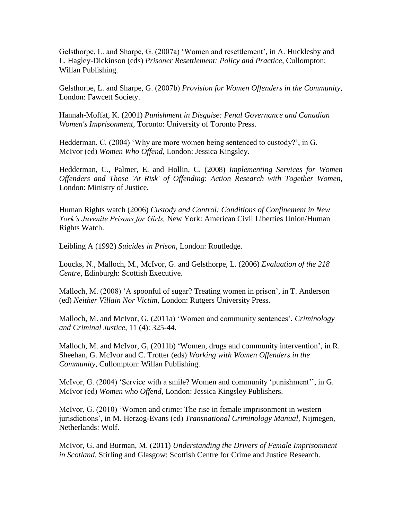Gelsthorpe, L. and Sharpe, G. (2007a) 'Women and resettlement', in A. Hucklesby and L. Hagley-Dickinson (eds) *Prisoner Resettlement: Policy and Practice*, Cullompton: Willan Publishing.

Gelsthorpe, L. and Sharpe, G. (2007b) *Provision for Women Offenders in the Community,*  London: Fawcett Society.

Hannah-Moffat, K. (2001) *Punishment in Disguise: Penal Governance and Canadian Women's Imprisonment*, Toronto: University of Toronto Press.

Hedderman, C. (2004) 'Why are more women being sentenced to custody?', in G. McIvor (ed) *Women Who Offend*, London: Jessica Kingsley.

Hedderman, C., Palmer, E. and Hollin, C. (2008) *Implementing Services for Women Offenders and Those 'At Risk' of Offending*: *Action Research with Together Women*, London: Ministry of Justice.

Human Rights watch (2006) *Custody and Control: Conditions of Confinement in New York's Juvenile Prisons for Girls,* New York: American Civil Liberties Union/Human Rights Watch.

Leibling A (1992) *Suicides in Prison*, London: Routledge.

Loucks, N., Malloch, M., McIvor, G. and Gelsthorpe, L. (2006) *Evaluation of the 218 Centre,* Edinburgh: Scottish Executive.

Malloch, M. (2008) 'A spoonful of sugar? Treating women in prison', in T. Anderson (ed) *Neither Villain Nor Victim,* London: Rutgers University Press.

Malloch, M. and McIvor, G. (2011a) 'Women and community sentences', *Criminology and Criminal Justice,* 11 (4): 325-44.

Malloch, M. and McIvor, G, (2011b) 'Women, drugs and community intervention', in R. Sheehan, G. McIvor and C. Trotter (eds) *Working with Women Offenders in the Community*, Cullompton: Willan Publishing.

McIvor, G. (2004) 'Service with a smile? Women and community 'punishment'', in G. McIvor (ed) *Women who Offend,* London: Jessica Kingsley Publishers.

McIvor, G. (2010) 'Women and crime: The rise in female imprisonment in western jurisdictions', in M. Herzog-Evans (ed) *Transnational Criminology Manual,* Nijmegen, Netherlands: Wolf.

McIvor, G. and Burman, M. (2011) *Understanding the Drivers of Female Imprisonment in Scotland,* Stirling and Glasgow: Scottish Centre for Crime and Justice Research.